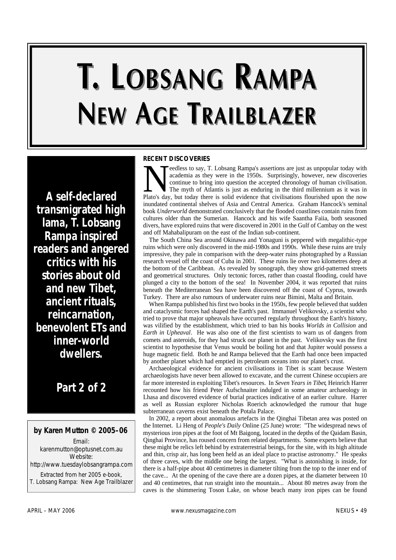# T. LOBSANG RAMPA **NEW AGE TRAILBLAZER**

*A self-declared transmigrated high lama, T. Lobsang Rampa inspired readers and angered critics with his stories about old and new Tibet, ancient rituals, reincarnation, benevolent ETs and inner-world dwellers.*

# *Part 2 of 2*

# **by Karen Mutton © 2005–06**

Email: karenmutton@optusnet.com.au Website: http://www.tuesdaylobsangrampa.com Extracted from her 2005 e-book, *T. Lobsang Rampa: New Age Trailblazer*

### **RECENT DISCOVERIES**

Peedless to say, T. Lobsang Rampa's assertions are just as unpopular today with academia as they were in the 1950s. Surprisingly, however, new discoveries continue to bring into question the accepted chronology of human ci eedless to say, T. Lobsang Rampa's assertions are just as unpopular today with academia as they were in the 1950s. Surprisingly, however, new discoveries continue to bring into question the accepted chronology of human civilisation. The myth of Atlantis is just as enduring in the third millennium as it was in inundated continental shelves of Asia and Central America. Graham Hancock's seminal book *Underworld* demonstrated conclusively that the flooded coastlines contain ruins from cultures older than the Sumerian. Hancock and his wife Saantha Faiia, both seasoned divers, have explored ruins that were discovered in 2001 in the Gulf of Cambay on the west and off Mahabalipuram on the east of the Indian sub-continent.

The South China Sea around Okinawa and Yonaguni is peppered with megalithic-type ruins which were only discovered in the mid-1980s and 1990s. While these ruins are truly impressive, they pale in comparison with the deep-water ruins photographed by a Russian research vessel off the coast of Cuba in 2001. These ruins lie over two kilometres deep at the bottom of the Caribbean. As revealed by sonograph, they show grid-patterned streets and geometrical structures. Only tectonic forces, rather than coastal flooding, could have plunged a city to the bottom of the sea! In November 2004, it was reported that ruins beneath the Mediterranean Sea have been discovered off the coast of Cyprus, towards Turkey. There are also rumours of underwater ruins near Bimini, Malta and Britain.

When Rampa published his first two books in the 1950s, few people believed that sudden and cataclysmic forces had shaped the Earth's past. Immanuel Velikovsky, a scientist who tried to prove that major upheavals have occurred regularly throughout the Earth's history, was vilified by the establishment, which tried to ban his books *Worlds in Collision* and *Earth in Upheaval*. He was also one of the first scientists to warn us of dangers from comets and asteroids, for they had struck our planet in the past. Velikovsky was the first scientist to hypothesise that Venus would be boiling hot and that Jupiter would possess a huge magnetic field. Both he and Rampa believed that the Earth had once been impacted by another planet which had emptied its petroleum oceans into our planet's crust.

Archaeological evidence for ancient civilisations in Tibet is scant because Western archaeologists have never been allowed to excavate, and the current Chinese occupiers are far more interested in exploiting Tibet's resources. In *Seven Years in Tibet*, Heinrich Harrer recounted how his friend Peter Aufschnaiter indulged in some amateur archaeology in Lhasa and discovered evidence of burial practices indicative of an earlier culture. Harrer as well as Russian explorer Nicholas Roerich acknowledged the rumour that huge subterranean caverns exist beneath the Potala Palace.

In 2002, a report about anomalous artefacts in the Qinghai Tibetan area was posted on the Internet. Li Heng of *People's Daily* Online (25 June) wrote: "The widespread news of mysterious iron pipes at the foot of Mt Baigong, located in the depths of the Qaidam Basin, Qinghai Province, has roused concern from related departments. Some experts believe that these might be relics left behind by extraterrestrial beings, for the site, with its high altitude and thin, crisp air, has long been held as an ideal place to practise astronomy." He speaks of three caves, with the middle one being the largest. "What is astonishing is inside, for there is a half-pipe about 40 centimetres in diameter tilting from the top to the inner end of the cave... At the opening of the cave there are a dozen pipes, at the diameter between 10 and 40 centimetres, that run straight into the mountain... About 80 metres away from the caves is the shimmering Toson Lake, on whose beach many iron pipes can be found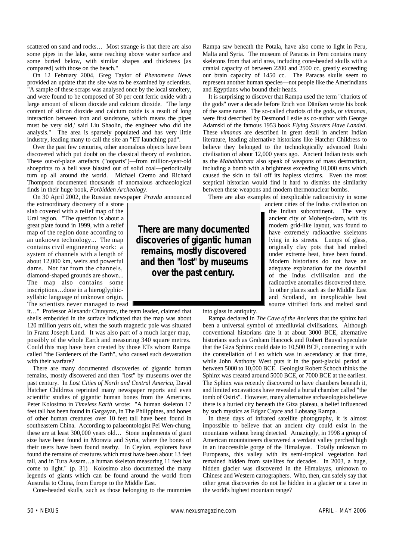scattered on sand and rocks… Most strange is that there are also some pipes in the lake, some reaching above water surface and some buried below, with similar shapes and thickness [as compared] with those on the beach."

On 12 February 2004, Greg Taylor of *Phenomena News* provided an update that the site was to be examined by scientists. "A sample of these scraps was analysed once by the local smeltery, and were found to be composed of 30 per cent ferric oxide with a large amount of silicon dioxide and calcium dioxide. 'The large content of silicon dioxide and calcium oxide is a result of long interaction between iron and sandstone, which means the pipes must be very old,' said Liu Shaolin, the engineer who did the analysis." The area is sparsely populated and has very little industry, leading many to call the site an "ET launching pad".

Over the past few centuries, other anomalous objects have been discovered which put doubt on the classical theory of evolution. These out-of-place artefacts ("ooparts")—from million-year-old shoeprints to a bell vase blasted out of solid coal—periodically turn up all around the world. Michael Cremo and Richard Thompson documented thousands of anomalous archaeological finds in their huge book, *Forbidden Archeology*.

On 30 April 2002, the Russian newspaper *Pravda* announced

the extraordinary discovery of a stone slab covered with a relief map of the Ural region. "The question is about a great plate found in 1999, with a relief map of the region done according to an unknown technology... The map contains civil engineering work: a system of channels with a length of about 12,000 km, weirs and powerful dams. Not far from the channels, diamond-shaped grounds are shown... The map also contains some inscriptions…done in a hieroglyphicsyllabic language of unknown origin. The scientists never managed to read

it…" Professor Alexandr Chuvyrov, the team leader, claimed that shells embedded in the surface indicated that the map was about 120 million years old, when the south magnetic pole was situated in Franz Joseph Land. It was also part of a much larger map, possibly of the whole Earth and measuring 340 square metres. Could this map have been created by those ETs whom Rampa called "the Gardeners of the Earth", who caused such devastation with their warfare?

There are many documented discoveries of gigantic human remains, mostly discovered and then "lost" by museums over the past century. In *Lost Cities of North and Central America*, David Hatcher Childress reprinted many newspaper reports and even scientific studies of gigantic human bones from the Americas. Peter Kolosimo in *Timeless Earth* wrote: "A human skeleton 17 feet tall has been found in Gargayan, in The Philippines, and bones of other human creatures over 10 feet tall have been found in southeastern China. According to palaeontologist Pei Wen-chung, these are at least 300,000 years old… Stone implements of giant size have been found in Moravia and Syria, where the bones of their users have been found nearby. In Ceylon, explorers have found the remains of creatures which must have been about 13 feet tall, and in Tura Assam…a human skeleton measuring 11 feet has come to light." (p. 31) Kolosimo also documented the many legends of giants which can be found around the world from Australia to China, from Europe to the Middle East.

Cone-headed skulls, such as those belonging to the mummies

Rampa saw beneath the Potala, have also come to light in Peru, Malta and Syria. The museum of Paracas in Peru contains many skeletons from that arid area, including cone-headed skulls with a cranial capacity of between 2200 and 2500 cc, greatly exceeding our brain capacity of 1450 cc. The Paracas skulls seem to represent another human species—not people like the Amerindians and Egyptians who bound their heads.

It is surprising to discover that Rampa used the term "chariots of the gods" over a decade before Erich von Däniken wrote his book of the same name. The so-called chariots of the gods, or *vimanas*, were first described by Desmond Leslie as co-author with George Adamski of the famous 1953 book *Flying Saucers Have Landed*. These *vimanas* are described in great detail in ancient Indian literature, leading alternative historians like Hatcher Childress to believe they belonged to the technologically advanced Rishi civilisation of about 12,000 years ago. Ancient Indian texts such as the *Mahabharata* also speak of weapons of mass destruction, including a bomb with a brightness exceeding 10,000 suns which caused the skin to fall off its hapless victims. Even the most sceptical historian would find it hard to dismiss the similarity between these weapons and modern thermonuclear bombs.

There are also examples of inexplicable radioactivity in some

ancient cities of the Indus civilisation on the Indian subcontinent. The very ancient city of Mohenjo-daro, with its modern grid-like layout, was found to have extremely radioactive skeletons lying in its streets. Lumps of glass, originally clay pots that had melted under extreme heat, have been found. Modern historians do not have an adequate explanation for the downfall of the Indus civilisation and the radioactive anomalies discovered there. In other places such as the Middle East and Scotland, an inexplicable heat source vitrified forts and melted sand

**There are many documented discoveries of gigantic human remains, mostly discovered and then "lost" by museums over the past century.**

into glass in antiquity.

Rampa declared in *The Cave of the Ancients* that the sphinx had been a universal symbol of antediluvial civilisations. Although conventional historians date it at about 3000 BCE, alternative historians such as Graham Hancock and Robert Bauval speculate that the Giza Sphinx could date to 10,500 BCE, connecting it with the constellation of Leo which was in ascendancy at that time, while John Anthony West puts it in the post-glacial period at between 5000 to 10,000 BCE. Geologist Robert Schoch thinks the Sphinx was created around 5000 BCE, or 7000 BCE at the earliest. The Sphinx was recently discovered to have chambers beneath it, and limited excavations have revealed a burial chamber called "the tomb of Osiris". However, many alternative archaeologists believe there is a buried city beneath the Giza plateau, a belief influenced by such mystics as Edgar Cayce and Lobsang Rampa.

In these days of infrared satellite photography, it is almost impossible to believe that an ancient city could exist in the mountains without being detected. Amazingly, in 1998 a group of American mountaineers discovered a verdant valley perched high in an inaccessible gorge of the Himalayas. Totally unknown to Europeans, this valley with its semi-tropical vegetation had remained hidden from satellites for decades. In 2003, a huge, hidden glacier was discovered in the Himalayas, unknown to Chinese and Western cartographers. Who, then, can safely say that other great discoveries do not lie hidden in a glacier or a cave in the world's highest mountain range?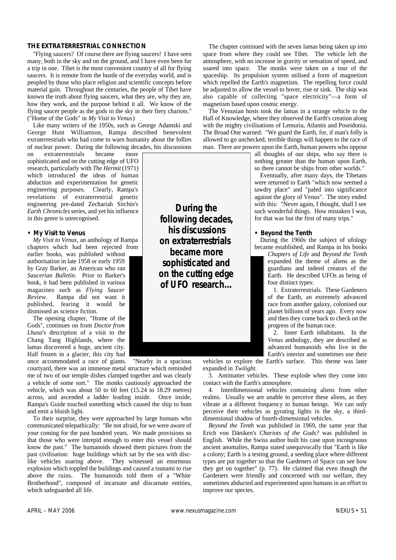#### **THE EXTRATERRESTRIAL CONNECTION**

"Flying saucers? Of course there are flying saucers! I have seen many, both in the sky and on the ground, and I have even been for a trip in one. Tibet is the most convenient country of all for flying saucers. It is remote from the bustle of the everyday world, and is peopled by those who place religion and scientific concepts before material gain. Throughout the centuries, the people of Tibet have known the truth about flying saucers, what they are, why they are, how they work, and the purpose behind it all. We know of the flying saucer people as the gods in the sky in their fiery chariots." ("Home of the Gods" in *My Visit to Venus*)

Like many writers of the 1950s, such as George Adamski and George Hunt Williamson, Rampa described benevolent extraterrestrials who had come to warn humanity about the follies of nuclear power. During the following decades, his discussions

on extraterrestrials became more sophisticated and on the cutting edge of UFO research, particularly with *The Hermit* (1971) which introduced the ideas of human abduction and experimentation for genetic engineering purposes. Clearly, Rampa's revelations of extraterrestrial genetic engineering pre-dated Zechariah Sitchin's *Earth Chronicles*series, and yet his influence in this genre is unrecognised.

#### **•** *My Visit to Venus*

*My Visit to Venus*, an anthology of Rampa chapters which had been rejected from

earlier books, was published without authorisation in late 1958 or early 1959 by Gray Barker, an American who ran *Saucerian Bulletin*. Prior to Barker's book, it had been published in various magazines such as *Flying Saucer Review*. Rampa did not want it published, fearing it would be dismissed as science fiction.

The opening chapter, "Home of the Gods", continues on from *Doctor from Lhasa*'s description of a visit to the Chang Tang Highlands, where the lamas discovered a huge, ancient city. Half frozen in a glacier, this city had once accommodated a race of giants. "Nearby in a spacious

courtyard, there was an immense metal structure which reminded me of two of our temple dishes clamped together and was clearly a vehicle of some sort." The monks cautiously approached the vehicle, which was about 50 to 60 feet (15.24 to 18.29 metres) across, and ascended a ladder leading inside. Once inside, Rampa's Guide touched something which caused the ship to hum and emit a bluish light.

To their surprise, they were approached by large humans who communicated telepathically: "Be not afraid, for we were aware of your coming for the past hundred years. We made provisions so that those who were intrepid enough to enter this vessel should know the past." The humanoids showed them pictures from the past civilisation: huge buildings which sat by the sea with disclike vehicles soaring above. They witnessed an enormous explosion which toppled the buildings and caused a tsunami to rise above the ruins. The humanoids told them of a "White Brotherhood", composed of incarnate and discarnate entities, which safeguarded all life.

**During the following decades, his discussions on extraterrestrials became more sophisticated and on the cutting edge of UFO research...**

The chapter continued with the seven lamas being taken up into space from where they could see Tibet. The vehicle left the atmosphere, with no increase in gravity or sensation of speed, and soared into space. The monks were taken on a tour of the spaceship. Its propulsion system utilised a form of magnetism which repelled the Earth's magnetism. The repelling force could be adjusted to allow the vessel to hover, rise or sink. The ship was also capable of collecting "space electricity"—a form of magnetism based upon cosmic energy.

The Venusian hosts took the lamas in a strange vehicle to the Hall of Knowledge, where they observed the Earth's creation along with the mighty civilisations of Lemuria, Atlantis and Poseidonia. The Broad One warned: "We guard the Earth, for, if man's folly is allowed to go unchecked, terrible things will happen to the race of man. There are powers upon the Earth, human powers who oppose

> all thoughts of our ships, who say there is nothing greater than the human upon Earth, so there cannot be ships from other worlds."

> Eventually, after many days, the Tibetans were returned to Earth "which now seemed a tawdry place" and "paled into significance against the glory of Venus". The story ended with this: "Never again, I thought, shall I see such wonderful things. How mistaken I was, for that was but the first of many trips."

#### **•** *Beyond the Tenth*

During the 1960s the subject of ufology became established, and Rampa in his books

*Chapters of Life* and *Beyond the Tenth* expanded the theme of aliens as the guardians and indeed creators of the Earth. He described UFOs as being of four distinct types:

1. Extraterrestrials. These Gardeners of the Earth, an extremely advanced race from another galaxy, colonised our planet billions of years ago. Every now and then they come back to check on the progress of the human race.

2. Inner Earth inhabitants. In the *Venus* anthology, they are described as advanced humanoids who live in the Earth's interior and sometimes use their

vehicles to explore the Earth's surface. This theme was later expanded in *Twilight*.

3. Antimatter vehicles. These explode when they come into contact with the Earth's atmosphere.

4. Interdimensional vehicles containing aliens from other realms. Usually we are unable to perceive these aliens, as they vibrate at a different frequency to human beings. We can only perceive their vehicles as gyrating lights in the sky, a thirddimensional shadow of fourth-dimensional vehicles.

*Beyond the Tenth* was published in 1969, the same year that Erich von Däniken's *Chariots of the Gods?* was published in English. While the Swiss author built his case upon incongruous ancient anomalies, Rampa stated unequivocally that "Earth is like a colony; Earth is a testing ground, a seeding place where different types are put together so that the Gardeners of Space can see how they get on together" (p. 77). He claimed that even though the Gardeners were friendly and concerned with our welfare, they sometimes abducted and experimented upon humans in an effort to improve our species.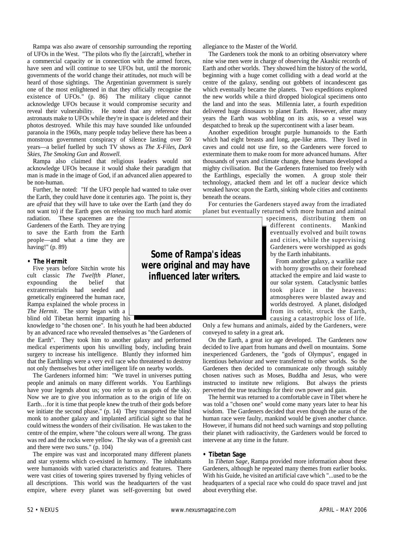Rampa was also aware of censorship surrounding the reporting of UFOs in the West. "The pilots who fly the [aircraft], whether in a commercial capacity or in connection with the armed forces, have seen and will continue to see UFOs but, until the moronic governments of the world change their attitudes, not much will be heard of those sightings. The Argentinian government is surely one of the most enlightened in that they officially recognise the existence of UFOs." (p. 86) The military clique cannot acknowledge UFOs because it would compromise security and reveal their vulnerability. He noted that any reference that astronauts make to UFOs while they're in space is deleted and their photos destroyed. While this may have sounded like unfounded paranoia in the 1960s, many people today believe there has been a monstrous government conspiracy of silence lasting over 50 years—a belief fuelled by such TV shows as *The X-Files*, *Dark Skies*, *The Smoking Gun* and *Roswell*.

Rampa also claimed that religious leaders would not acknowledge UFOs because it would shake their paradigm that man is made in the image of God, if an advanced alien appeared to be non-human.

Further, he noted: "If the UFO people had wanted to take over the Earth, they could have done it centuries ago. The point is, they are *afraid* that they will have to take over the Earth (and they do not want to) if the Earth goes on releasing too much hard atomic

radiation. These spacemen are the Gardeners of the Earth. They are trying to save the Earth from the Earth people—and what a time they are having!" (p. 89)

#### **•** *The Hermit*

Five years before Sitchin wrote his cult classic *The Twelfth Planet*, expounding the belief that extraterrestrials had seeded and genetically engineered the human race, Rampa explained the whole process in *The Hermit*. The story began with a blind old Tibetan hermit imparting his

knowledge to "the chosen one". In his youth he had been abducted by an advanced race who revealed themselves as "the Gardeners of the Earth". They took him to another galaxy and performed medical experiments upon his unwilling body, including brain surgery to increase his intelligence. Bluntly they informed him that the Earthlings were a very evil race who threatened to destroy not only themselves but other intelligent life on nearby worlds.

The Gardeners informed him: "We travel in universes putting people and animals on many different worlds. You Earthlings have your legends about us; you refer to us as gods of the sky. Now we are to give you information as to the origin of life on Earth…for it is time that people knew the truth of their gods before we initiate the second phase." (p. 14) They transported the blind monk to another galaxy and implanted artificial sight so that he could witness the wonders of their civilisation. He was taken to the centre of the empire, where "the colours were all wrong. The grass was red and the rocks were yellow. The sky was of a greenish cast and there were two suns." (p. 104)

The empire was vast and incorporated many different planets and star systems which co-existed in harmony. The inhabitants were humanoids with varied characteristics and features. There were vast cities of towering spires traversed by flying vehicles of all descriptions. This world was the headquarters of the vast empire, where every planet was self-governing but owed

allegiance to the Master of the World.

The Gardeners took the monk to an orbiting observatory where nine wise men were in charge of observing the Akashic records of Earth and other worlds. They showed him the history of the world, beginning with a huge comet colliding with a dead world at the centre of the galaxy, sending out gobbets of incandescent gas which eventually became the planets. Two expeditions explored the new worlds while a third dropped biological specimens onto the land and into the seas. Millennia later, a fourth expedition delivered huge dinosaurs to planet Earth. However, after many years the Earth was wobbling on its axis, so a vessel was despatched to break up the supercontinent with a laser beam.

Another expedition brought purple humanoids to the Earth which had eight breasts and long, ape-like arms. They lived in caves and could not use fire, so the Gardeners were forced to exterminate them to make room for more advanced humans. After thousands of years and climate change, these humans developed a mighty civilisation. But the Gardeners fraternised too freely with the Earthlings, especially the women. A group stole their technology, attacked them and let off a nuclear device which wreaked havoc upon the Earth, sinking whole cities and continents beneath the oceans.

For centuries the Gardeners stayed away from the irradiated planet but eventually returned with more human and animal

specimens, distributing them on different continents. Mankind eventually evolved and built towns and cities, while the supervising Gardeners were worshipped as gods by the Earth inhabitants.

From another galaxy, a warlike race with horny growths on their forehead attacked the empire and laid waste to our solar system. Cataclysmic battles took place in the heavens: atmospheres were blasted away and worlds destroyed. A planet, dislodged from its orbit, struck the Earth, causing a catastrophic loss of life.

Only a few humans and animals, aided by the Gardeners, were conveyed to safety in a great ark.

On the Earth, a great ice age developed. The Gardeners now decided to live apart from humans and dwell on mountains. Some inexperienced Gardeners, the "gods of Olympus", engaged in licentious behaviour and were transferred to other worlds. So the Gardeners then decided to communicate only through suitably chosen natives such as Moses, Buddha and Jesus, who were instructed to institute new religions. But always the priests perverted the true teachings for their own power and gain.

The hermit was returned to a comfortable cave in Tibet where he was told a "chosen one" would come many years later to hear his wisdom. The Gardeners decided that even though the auras of the human race were faulty, mankind would be given another chance. However, if humans did not heed such warnings and stop polluting their planet with radioactivity, the Gardeners would be forced to intervene at any time in the future.

#### **•** *Tibetan Sage*

In *Tibetan Sage*, Rampa provided more information about these Gardeners, although he repeated many themes from earlier books. With his Guide, he visited an artificial cave which "...used to be the headquarters of a special race who could do space travel and just about everything else.

**influenced later writers.**

**Some of Rampa's ideas**  *were* **original and may have**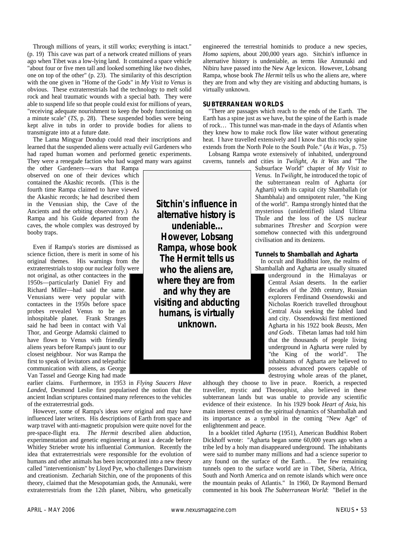Through millions of years, it still works; everything is intact." (p. 19) This cave was part of a network created millions of years ago when Tibet was a low-lying land. It contained a space vehicle "about four or five men tall and looked something like two dishes, one on top of the other" (p. 23). The similarity of this description with the one given in "Home of the Gods" in *My Visit to Venus* is obvious. These extraterrestrials had the technology to melt solid rock and heal traumatic wounds with a special bath. They were able to suspend life so that people could exist for millions of years, "receiving adequate nourishment to keep the body functioning on a minute scale" (*TS*, p. 28). These suspended bodies were being kept alive in tubs in order to provide bodies for aliens to transmigrate into at a future date.

The Lama Mingyar Dondup could read their inscriptions and learned that the suspended aliens were actually evil Gardeners who had raped human women and performed genetic experiments. They were a renegade faction who had waged many wars against

the other Gardeners—wars that Rampa observed on one of their devices which contained the Akashic records. (This is the fourth time Rampa claimed to have viewed the Akashic records; he had described them in the Venusian ship, the Cave of the Ancients and the orbiting observatory.) As Rampa and his Guide departed from the caves, the whole complex was destroyed by booby traps.

Even if Rampa's stories are dismissed as science fiction, there is merit in some of his original themes. His warnings from the extraterrestrials to stop our nuclear folly were not original, as other contactees in the 1950s—particularly Daniel Fry and Richard Miller—had said the same. Venusians were very popular with contactees in the 1950s before space probes revealed Venus to be an inhospitable planet. Frank Stranges said he had been in contact with Val Thor, and George Adamski claimed to have flown to Venus with friendly aliens years before Rampa's jaunt to our closest neighbour. Nor was Rampa the first to speak of levitators and telepathic communication with aliens, as George Van Tassel and George King had made

earlier claims. Furthermore, in 1953 in *Flying Saucers Have Landed*, Desmond Leslie first popularised the notion that the ancient Indian scriptures contained many references to the vehicles of the extraterrestrial gods.

However, some of Rampa's ideas *were* original and may have influenced later writers. His descriptions of Earth from space and warp travel with anti-magnetic propulsion were quite novel for the pre-space-flight era. *The Hermit* described alien abduction, experimentation and genetic engineering at least a decade before Whitley Strieber wrote his influential *Communion*. Recently the idea that extraterrestrials were responsible for the evolution of humans and other animals has been incorporated into a new theory called "interventionism" by Lloyd Pye, who challenges Darwinism and creationism. Zechariah Sitchin, one of the proponents of this theory, claimed that the Mesopotamian gods, the Annunaki, were extraterrestrials from the 12th planet, Nibiru, who genetically

engineered the terrestrial hominids to produce a new species, *Homo sapiens*, about 200,000 years ago. Sitchin's influence in alternative history is undeniable, as terms like Annunaki and Nibiru have passed into the New Age lexicon. However, Lobsang Rampa, whose book *The Hermit* tells us who the aliens are, where they are from and why they are visiting and abducting humans, is virtually unknown.

#### **SUBTERRANEAN WORLDS**

"There are passages which reach to the ends of the Earth. The Earth has a spine just as we have, but the spine of the Earth is made of rock… This tunnel was man-made in the days of Atlantis when they knew how to make rock flow like water without generating heat. I have travelled extensively and I know that this rocky spine extends from the North Pole to the South Pole." (*As it Was*, p. 75)

Lobsang Rampa wrote extensively of inhabited, underground caverns, tunnels and cities in *Twilight*, *As it Was* and "The

Subsurface World" chapter of *My Visit to Venus*. In *Twilight*, he introduced the topic of the subterranean realm of Agharta (or Agharti) with its capital city Shamballah (or Shambhala) and omnipotent ruler, "the King of the world". Rampa strongly hinted that the mysterious (unidentified) island Ultima Thule and the loss of the US nuclear submarines *Thresher* and *Scorpion* were somehow connected with this underground civilisation and its denizens.

#### **Tunnels to Shamballah and Agharta**

In occult and Buddhist lore, the realms of Shamballah and Agharta are usually situated

underground in the Himalayas or Central Asian deserts. In the earlier decades of the 20th century, Russian explorers Ferdinand Ossendowski and Nicholas Roerich travelled throughout Central Asia seeking the fabled land and city. Ossendowski first mentioned Agharta in his 1922 book *Beasts, Men and Gods*. Tibetan lamas had told him that the thousands of people living underground in Agharta were ruled by "the King of the world". The inhabitants of Agharta are believed to possess advanced powers capable of destroying whole areas of the planet,

although they choose to live in peace. Roerich, a respected traveller, mystic and Theosophist, also believed in these subterranean lands but was unable to provide any scientific evidence of their existence. In his 1929 book *Heart of Asia*, his main interest centred on the spiritual dynamics of Shamballah and its importance as a symbol in the coming "New Age" of enlightenment and peace.

In a booklet titled *Agharta* (1951), American Buddhist Robert Dickhoff wrote: "Agharta began some 60,000 years ago when a tribe led by a holy man disappeared underground. The inhabitants were said to number many millions and had a science superior to any found on the surface of the Earth… The few remaining tunnels open to the surface world are in Tibet, Siberia, Africa, South and North America and on remote islands which were once the mountain peaks of Atlantis." In 1960, Dr Raymond Bernard commented in his book *The Subterranean World*: "Belief in the

**undeniable... However, Lobsang Rampa, whose book**  *The Hermit* **tells us who the aliens are, where they are from and why they are visiting and abducting humans, is virtually unknown.**

**Sitchin's influence in alternative history is**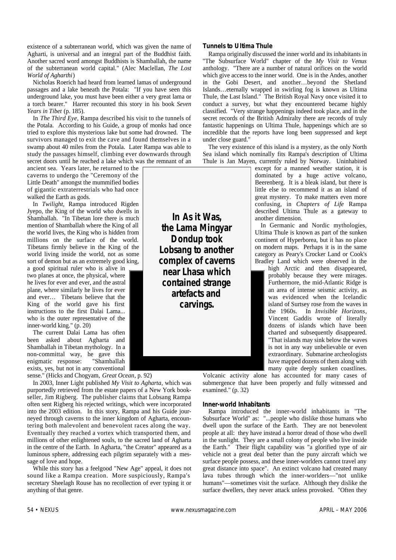existence of a subterranean world, which was given the name of Agharti, is universal and an integral part of the Buddhist faith. Another sacred word amongst Buddhists is Shamballah, the name of the subterranean world capital." (Alec Maclellan, *The Lost World of Agharthi*)

Nicholas Roerich had heard from learned lamas of underground passages and a lake beneath the Potala: "If you have seen this underground lake, you must have been either a very great lama or a torch bearer." Harrer recounted this story in his book *Seven Years in Tibet* (p. 185).

In *The Third Eye*, Rampa described his visit to the tunnels of the Potala. According to his Guide, a group of monks had once tried to explore this mysterious lake but some had drowned. The survivors managed to exit the cave and found themselves in a swamp about 40 miles from the Potala. Later Rampa was able to study the passages himself, climbing ever downwards through secret doors until he reached a lake which was the remnant of an

ancient sea. Years later, he returned to the caverns to undergo the "Ceremony of the Little Death" amongst the mummified bodies of gigantic extraterrestrials who had once walked the Earth as gods.

In *Twilight*, Rampa introduced Rigden Jyepo, the King of the world who dwells in Shamballah. "In Tibetan lore there is much mention of Shamballah where the King of all the world lives, the King who is hidden from millions on the surface of the world. Tibetans firmly believe in the King of the world living inside the world, not as some sort of demon but as an extremely good king,

a good spiritual ruler who is alive in two planes at once, the physical, where he lives for ever and ever, and the astral plane, where similarly he lives for ever and ever… Tibetans believe that the King of the world gave his first instructions to the first Dalai Lama... who is the outer representative of the inner-world king." (p. 20)

The current Dalai Lama has often been asked about Agharta and Shamballah in Tibetan mythology. In a non-committal way, he gave this enigmatic response: exists, yes, but not in any conventional

sense." (Hicks and Chogyam, *Great Ocean*, p. 92)

In 2003, Inner Light published *My Visit to Agharta*, which was purportedly retrieved from the estate papers of a New York bookseller, Jim Rigberg. The publisher claims that Lobsang Rampa often sent Rigberg his rejected writings, which were incorporated into the 2003 edition. In this story, Rampa and his Guide journeyed through caverns to the inner kingdom of Agharta, encountering both malevolent and benevolent races along the way. Eventually they reached a vortex which transported them, and millions of other enlightened souls, to the sacred land of Agharta in the centre of the Earth. In Agharta, "the Creator" appeared as a luminous sphere, addressing each pilgrim separately with a message of love and hope.

While this story has a feelgood "New Age" appeal, it does not sound like a Rampa creation. More suspiciously, Rampa's secretary Sheelagh Rouse has no recollection of ever typing it or anything of that genre.

#### **Tunnels to Ultima Thule**

Rampa originally discussed the inner world and its inhabitants in "The Subsurface World" chapter of the *My Visit to Venus* anthology. "There are a number of natural orifices on the world which give access to the inner world. One is in the Andes, another in the Gobi Desert, and another…beyond the Shetland Islands…eternally wrapped in swirling fog is known as Ultima Thule, the Last Island." The British Royal Navy once visited it to conduct a survey, but what they encountered became highly classified. "Very strange happenings indeed took place, and in the secret records of the British Admiralty there are records of truly fantastic happenings on Ultima Thule, happenings which are so incredible that the reports have long been suppressed and kept under close guard."

The very existence of this island is a mystery, as the only North Sea island which nominally fits Rampa's description of Ultima Thule is Jan Mayen, currently ruled by Norway. Uninhabited

**In** *As it Was***, the Lama Mingyar Dondup took Lobsang to another complex of caverns near Lhasa which contained strange artefacts and carvings.** 

except for a manned weather station, it is dominated by a huge active volcano, Beerenberg. It is a bleak island, but there is little else to recommend it as an island of great mystery. To make matters even more confusing, in *Chapters of Life* Rampa described Ultima Thule as a gateway to another dimension.

In Germanic and Nordic mythologies, Ultima Thule is known as part of the sunken continent of Hyperborea, but it has no place on modern maps. Perhaps it is in the same category as Peary's Crocker Land or Cook's Bradley Land which were observed in the

high Arctic and then disappeared, probably because they were mirages. Furthermore, the mid-Atlantic Ridge is an area of intense seismic activity, as was evidenced when the Icelandic island of Surtsey rose from the waves in the 1960s. In *Invisible Horizons*, Vincent Gaddis wrote of literally dozens of islands which have been charted and subsequently disappeared. "That islands may sink below the waves is not in any way unbelievable or even extraordinary. Submarine archeologists have mapped dozens of them along with many quite deeply sunken coastlines.

Volcanic activity alone has accounted for many cases of submergence that have been properly and fully witnessed and examined." (p. 32)

#### **Inner-world Inhabitants**

Rampa introduced the inner-world inhabitants in "The Subsurface World" as: "...people who dislike those humans who dwell upon the surface of the Earth. They are not benevolent people at all: they have instead a horror dread of those who dwell in the sunlight. They are a small colony of people who live inside the Earth." Their flight capability was "a glorified type of air vehicle not a great deal better than the puny aircraft which we surface people possess, and these inner-worlders cannot travel any great distance into space". An extinct volcano had created many lava tubes through which the inner-worlders—"not unlike humans"—sometimes visit the surface. Although they dislike the surface dwellers, they never attack unless provoked. "Often they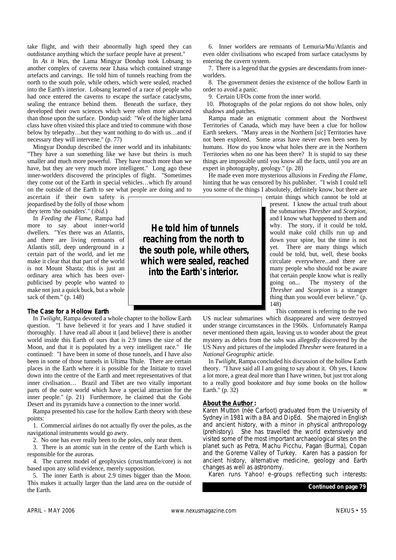take flight, and with their abnormally high speed they can outdistance anything which the surface people have at present."

In *As it Was*, the Lama Mingyar Dondup took Lobsang to another complex of caverns near Lhasa which contained strange artefacts and carvings. He told him of tunnels reaching from the north to the south pole, while others, which were sealed, reached into the Earth's interior. Lobsang learned of a race of people who had once entered the caverns to escape the surface cataclysms, sealing the entrance behind them. Beneath the surface, they developed their own sciences which were often more advanced than those upon the surface. Dondup said: "We of the higher lama class have often visited this place and tried to commune with those below by telepathy…but they want nothing to do with us…and if necessary they will intervene." (p. 77)

Mingyar Dondup described the inner world and its inhabitants: "They have a sun something like we have but theirs is much smaller and much more powerful. They have much more than we have, but they are very much more intelligent." Long ago these inner-worlders discovered the principles of flight. "Sometimes they come out of the Earth in special vehicles…which fly around on the outside of the Earth to see what people are doing and to

ascertain if their own safety is jeopardised by the folly of those whom they term 'the outsiders'." (*ibid.*)

In *Feeding the Flame*, Rampa had more to say about inner-world dwellers. "Yes there was an Atlantis, and there are living remnants of Atlantis still, deep underground in a certain part of the world, and let me make it clear that that part of the world is not Mount Shasta; this is just an ordinary area which has been overpublicised by people who wanted to make not just a quick buck, but a whole sack of them." (p. 148)

#### **The Case for a Hollow Earth**

In *Twilight*, Rampa devoted a whole chapter to the hollow Earth question. "I have believed it for years and I have studied it thoroughly. I have read all about it [and believe] there is another world inside this Earth of ours that is 2.9 times the size of the Moon, and that it is populated by a very intelligent race." He continued: "I have been in some of those tunnels, and I have also been in some of those tunnels in Ultima Thule. There are certain places in the Earth where it is possible for the Initiate to travel down into the centre of the Earth and meet representatives of that inner civilisation… Brazil and Tibet are two vitally important parts of the outer world which have a special attraction for the inner people." (p. 21) Furthermore, he claimed that the Gobi Desert and its pyramids have a connection to the inner world.

Rampa presented his case for the hollow Earth theory with these points:

1. Commercial airlines do not actually fly over the poles, as the navigational instruments would go awry.

2. No one has ever really been to the poles, only near them.

3. There is an atomic sun in the centre of the Earth which is responsible for the auroras.

4. The current model of geophysics (crust/mantle/core) is not based upon any solid evidence, merely supposition.

5. The inner Earth is about 2.9 times bigger than the Moon. This makes it actually larger than the land area on the outside of the Earth.

6. Inner worlders are remnants of Lemuria/Mu/Atlantis and even older civilisations who escaped from surface cataclysms by entering the cavern system.

7. There is a legend that the gypsies are descendants from innerworlders.

8. The government denies the existence of the hollow Earth in order to avoid a panic.

9. Certain UFOs come from the inner world.

10. Photographs of the polar regions do not show holes, only shadows and patches.

Rampa made an enigmatic comment about the Northwest Territories of Canada, which may have been a clue for hollow Earth seekers. "Many areas in the Northern [*sic*] Territories have not been explored. Some areas have never even been seen by humans. How do you know what holes there are in the Northern Territories when no one has been there? It is stupid to say these things are impossible until you know all the facts, until you are an expert in photography, geology." (p. 28)

He made even more mysterious allusions in *Feeding the Flame*, hinting that he was censored by his publisher. "I wish I could tell you some of the things I absolutely, definitely know, but there are

certain things which cannot be told at present. I know the actual truth about the submarines *Thresher* and *Scorpion*, and I know what happened to them and why. The story, if it could be told, would make cold chills run up and down your spine, but the time is not yet. There are many things which could be told, but, well, these books circulate everywhere...and there are many people who should not be aware that certain people know what is really going on... The mystery of the *Thresher* and *Scorpion* is a stranger thing than you would ever believe." (p. 148)

This comment is referring to the two

US nuclear submarines which disappeared and were destroyed under strange circumstances in the 1960s. Unfortunately Rampa never mentioned them again, leaving us to wonder about the great mystery as debris from the subs was allegedly discovered by the US Navy and pictures of the imploded *Thresher* were featured in a *National Geographic* article.

In *Twilight*, Rampa concluded his discussion of the hollow Earth theory. "I have said all I am going to say about it. Oh yes, I know a lot more, a great deal more than I have written, but just trot along to a really good bookstore and *buy* some books on the hollow Earth." (p. 32)

#### **About the Author :**

Karen Mutton (née Carfoot) graduated from the University of Sydney in 1981 with a BA and DipEd. She majored in English and ancient history, with a minor in physical anthropology (prehistory). She has travelled the world extensively and visited some of the most important archaeological sites on the planet such as Petra, Machu Picchu, Pagan (Burma), Copan and the Goreme Valley of Turkey. Karen has a passion for ancient history, alternative medicine, geology and Earth changes as well as astronomy.

Karen runs Yahoo! e-groups reflecting such interests:

**He told him of tunnels reaching from the north to the south pole, while others, which were sealed, reached into the Earth's interior.**